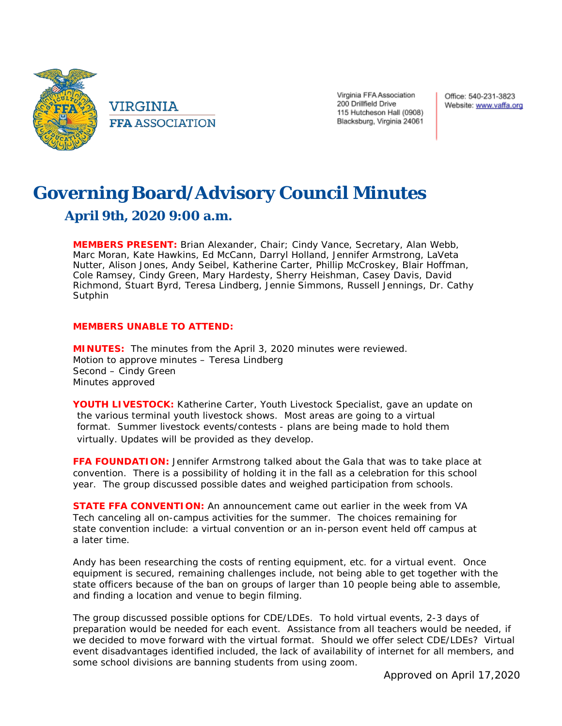

VIRGINIA **FFA ASSOCIATION**  Virginia FFA Association 200 Drillfield Drive 115 Hutcheson Hall (0908) Blacksburg, Virginia 24061

Office: 540-231-3823 Website: www.vaffa.org

## **Governing Board/Advisory Council Minutes April 9th, 2020 9:00 a.m.**

**MEMBERS PRESENT:** Brian Alexander, Chair; Cindy Vance, Secretary, Alan Webb, Marc Moran, Kate Hawkins, Ed McCann, Darryl Holland, Jennifer Armstrong, LaVeta Nutter, Alison Jones, Andy Seibel, Katherine Carter, Phillip McCroskey, Blair Hoffman, Cole Ramsey, Cindy Green, Mary Hardesty, Sherry Heishman, Casey Davis, David Richmond, Stuart Byrd, Teresa Lindberg, Jennie Simmons, Russell Jennings, Dr. Cathy Sutphin

## **MEMBERS UNABLE TO ATTEND:**

**MINUTES:** The minutes from the April 3, 2020 minutes were reviewed. Motion to approve minutes – Teresa Lindberg Second – Cindy Green Minutes approved

**YOUTH LIVESTOCK:** Katherine Carter, Youth Livestock Specialist, gave an update on the various terminal youth livestock shows. Most areas are going to a virtual format. Summer livestock events/contests - plans are being made to hold them virtually. Updates will be provided as they develop.

**FFA FOUNDATION:** Jennifer Armstrong talked about the Gala that was to take place at convention. There is a possibility of holding it in the fall as a celebration for this school year. The group discussed possible dates and weighed participation from schools.

**STATE FFA CONVENTION:** An announcement came out earlier in the week from VA Tech canceling all on-campus activities for the summer. The choices remaining for state convention include: a virtual convention or an in-person event held off campus at a later time.

Andy has been researching the costs of renting equipment, etc. for a virtual event. Once equipment is secured, remaining challenges include, not being able to get together with the state officers because of the ban on groups of larger than 10 people being able to assemble, and finding a location and venue to begin filming.

The group discussed possible options for CDE/LDEs. To hold virtual events, 2-3 days of preparation would be needed for each event. Assistance from all teachers would be needed, if we decided to move forward with the virtual format. Should we offer select CDE/LDEs? Virtual event disadvantages identified included, the lack of availability of internet for all members, and some school divisions are banning students from using zoom.